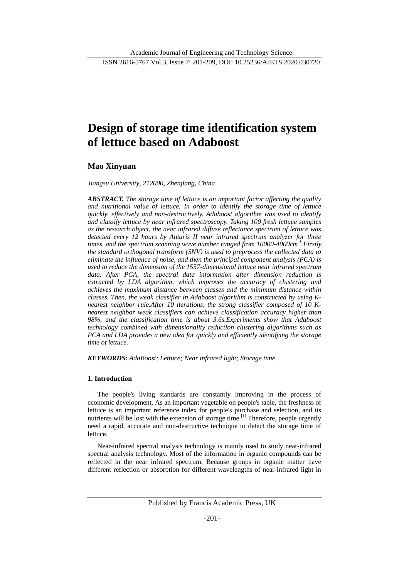# **Design of storage time identification system of lettuce based on Adaboost**

## **Mao Xinyuan**

## *Jiangsu University, 212000, Zhenjiang, China*

*ABSTRACT. The storage time of lettuce is an important factor affecting the quality and nutritional value of lettuce. In order to identify the storage time of lettuce quickly, effectively and non-destructively, Adaboost algorithm was used to identify and classify lettuce by near infrared spectroscopy. Taking 100 fresh lettuce samples as the research object, the near infrared diffuse reflectance spectrum of lettuce was detected every 12 hours by Antaris II near infrared spectrum analyzer for three times, and the spectrum scanning wave number ranged from 10000-4000cm-1 .Firstly, the standard orthogonal transform (SNV) is used to preprocess the collected data to eliminate the influence of noise, and then the principal component analysis (PCA) is used to reduce the dimension of the 1557-dimensional lettuce near infrared spectrum data. After PCA, the spectral data information after dimension reduction is extracted by LDA algorithm, which improves the accuracy of clustering and achieves the maximum distance between classes and the minimum distance within classes. Then, the weak classifier in Adaboost algorithm is constructed by using Knearest neighbor rule.After 10 iterations, the strong classifier composed of 10 Knearest neighbor weak classifiers can achieve classification accuracy higher than 98%, and the classification time is about 3.6s.Experiments show that Adaboost technology combined with dimensionality reduction clustering algorithms such as PCA and LDA provides a new idea for quickly and efficiently identifying the storage time of lettuce.*

*KEYWORDS: AdaBoost; Lettuce; Near infrared light; Storage time*

## **1. Introduction**

The people's living standards are constantly improving in the process of economic development. As an important vegetable on people's table, the freshness of lettuce is an important reference index for people's purchase and selection, and its nutrients will be lost with the extension of storage time  $\left[1\right]$ . Therefore, people urgently need a rapid, accurate and non-destructive technique to detect the storage time of lettuce.

Near-infrared spectral analysis technology is mainly used to study near-infrared spectral analysis technology. Most of the information in organic compounds can be reflected in the near infrared spectrum. Because groups in organic matter have different reflection or absorption for different wavelengths of near-infrared light in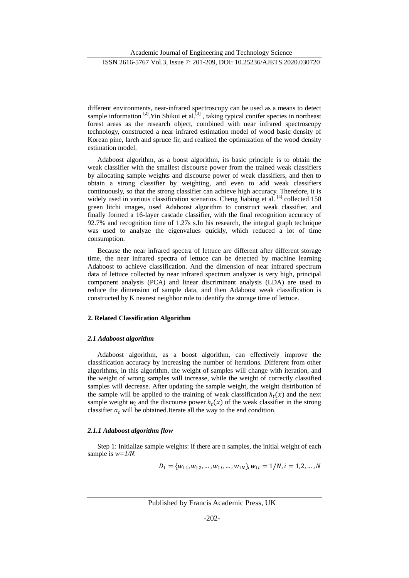ISSN 2616-5767 Vol.3, Issue 7: 201-209, DOI: 10.25236/AJETS.2020.030720

different environments, near-infrared spectroscopy can be used as a means to detect sample information  $[2]$ . Yin Shikui et al.<sup>[3]</sup>, taking typical conifer species in northeast forest areas as the research object, combined with near infrared spectroscopy technology, constructed a near infrared estimation model of wood basic density of Korean pine, larch and spruce fir, and realized the optimization of the wood density estimation model.

Adaboost algorithm, as a boost algorithm, its basic principle is to obtain the weak classifier with the smallest discourse power from the trained weak classifiers by allocating sample weights and discourse power of weak classifiers, and then to obtain a strong classifier by weighting, and even to add weak classifiers continuously, so that the strong classifier can achieve high accuracy. Therefore, it is widely used in various classification scenarios. Cheng Jiabing et al. [4] collected 150 green litchi images, used Adaboost algorithm to construct weak classifier, and finally formed a 16-layer cascade classifier, with the final recognition accuracy of 92.7% and recognition time of 1.27s s.In his research, the integral graph technique was used to analyze the eigenvalues quickly, which reduced a lot of time consumption.

Because the near infrared spectra of lettuce are different after different storage time, the near infrared spectra of lettuce can be detected by machine learning Adaboost to achieve classification. And the dimension of near infrared spectrum data of lettuce collected by near infrared spectrum analyzer is very high, principal component analysis (PCA) and linear discriminant analysis (LDA) are used to reduce the dimension of sample data, and then Adaboost weak classification is constructed by K nearest neighbor rule to identify the storage time of lettuce.

## **2. Related Classification Algorithm**

### *2.1 Adaboost algorithm*

Adaboost algorithm, as a boost algorithm, can effectively improve the classification accuracy by increasing the number of iterations. Different from other algorithms, in this algorithm, the weight of samples will change with iteration, and the weight of wrong samples will increase, while the weight of correctly classified samples will decrease. After updating the sample weight, the weight distribution of the sample will be applied to the training of weak classification  $h_t(x)$  and the next sample weight  $w_i$  and the discourse power  $h_i(x)$  of the weak classifier in the strong classifier  $a_t$  will be obtained.Iterate all the way to the end condition.

## *2.1.1 Adaboost algorithm flow*

Step 1: Initialize sample weights: if there are n samples, the initial weight of each sample is *w=1/N.*

$$
D_1 = \{w_{11}, w_{12}, \ldots, w_{1i}, \ldots, w_{1N}\}, w_{1i} = 1/N, i = 1, 2, \ldots, N
$$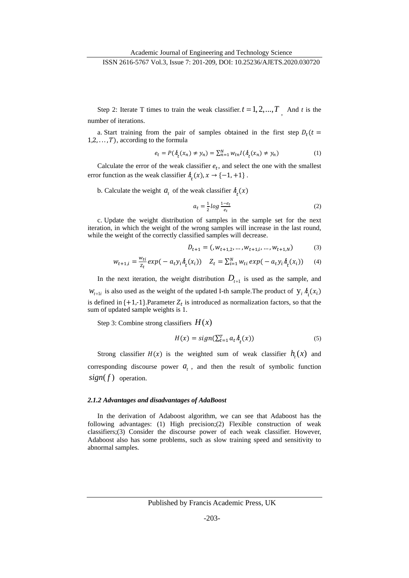Step 2: Iterate T times to train the weak classifier.  $t = 1, 2, ..., T$  And *t* is the number of iterations.

a. Start training from the pair of samples obtained in the first step  $D_t(t)$  $1, 2, \ldots, T$ , according to the formula

$$
e_t = P(\hbar_t(x_n) \neq y_n) = \sum_{n=1}^{N} w_{tn} I(\hbar_t(x_n) \neq y_n)
$$
 (1)

Calculate the error of the weak classifier  $e_t$ , and select the one with the smallest error function as the weak classifier  $h_t(x), x \to \{-1, +1\}$ .

b. Calculate the weight  $a_t$  of the weak classifier  $h_t(x)$ 

$$
a_t = \frac{1}{2} \log \frac{1 - e_t}{e_t} \tag{2}
$$

c. Update the weight distribution of samples in the sample set for the next iteration, in which the weight of the wrong samples will increase in the last round, while the weight of the correctly classified samples will decrease.

$$
D_{t+1} = (w_{t+1,2}, \dots, w_{t+1,i}, \dots, w_{t+1,N})
$$
 (3)

$$
w_{t+1,i} = \frac{w_{ti}}{z_t} \exp(-a_t y_i \dot{h}_t(x_i)) \quad Z_t = \sum_{i=1}^N w_{ti} \exp(-a_t y_i \dot{h}_t(x_i)) \quad (4)
$$

In the next iteration, the weight distribution  $D_{t+1}$  is used as the sample, and  $W_{t+1i}$  is also used as the weight of the updated I-th sample. The product of  $y_i h_i(x_i)$ is defined in  $\{+1,-1\}$ . Parameter  $Z_t$  is introduced as normalization factors, so that the sum of updated sample weights is 1.

Step 3: Combine strong classifiers  $H(x)$ 

$$
H(x) = sign(\sum_{t=1}^{T} a_t \lambda_t(x))
$$
\n<sup>(5)</sup>

Strong classifier  $H(x)$  is the weighted sum of weak classifier  $h<sub>i</sub>(x)$  and corresponding discourse power  $a_t$ , and then the result of symbolic function  $sign(f)$  operation.

#### *2.1.2 Advantages and disadvantages of AdaBoost*

In the derivation of Adaboost algorithm, we can see that Adaboost has the following advantages: (1) High precision;(2) Flexible construction of weak classifiers;(3) Consider the discourse power of each weak classifier. However, Adaboost also has some problems, such as slow training speed and sensitivity to abnormal samples.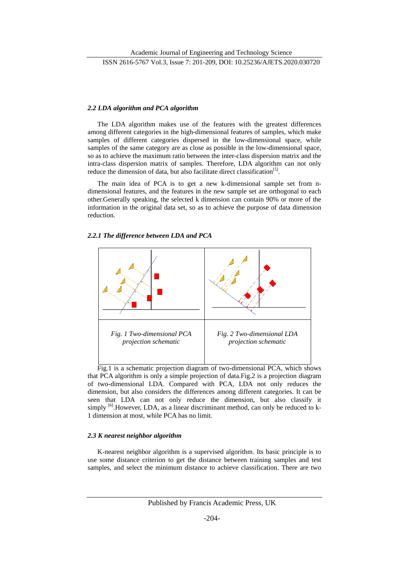## *2.2 LDA algorithm and PCA algorithm*

The LDA algorithm makes use of the features with the greatest differences among different categories in the high-dimensional features of samples, which make samples of different categories dispersed in the low-dimensional space, while samples of the same category are as close as possible in the low-dimensional space, so as to achieve the maximum ratio between the inter-class dispersion matrix and the intra-class dispersion matrix of samples. Therefore, LDA algorithm can not only reduce the dimension of data, but also facilitate direct classification<sup>[5]</sup>.

The main idea of PCA is to get a new k-dimensional sample set from ndimensional features, and the features in the new sample set are orthogonal to each other.Generally speaking, the selected k dimension can contain 90% or more of the information in the original data set, so as to achieve the purpose of data dimension reduction.

### *2.2.1 The difference between LDA and PCA*



Fig.1 is a schematic projection diagram of two-dimensional PCA, which shows that PCA algorithm is only a simple projection of data.Fig.2 is a projection diagram of two-dimensional LDA. Compared with PCA, LDA not only reduces the dimension, but also considers the differences among different categories. It can be seen that LDA can not only reduce the dimension, but also classify it simply <sup>[6]</sup>. However, LDA, as a linear discriminant method, can only be reduced to k-1 dimension at most, while PCA has no limit.

## *2.3 K nearest neighbor algorithm*

K-nearest neighbor algorithm is a supervised algorithm. Its basic principle is to use some distance criterion to get the distance between training samples and test samples, and select the minimum distance to achieve classification. There are two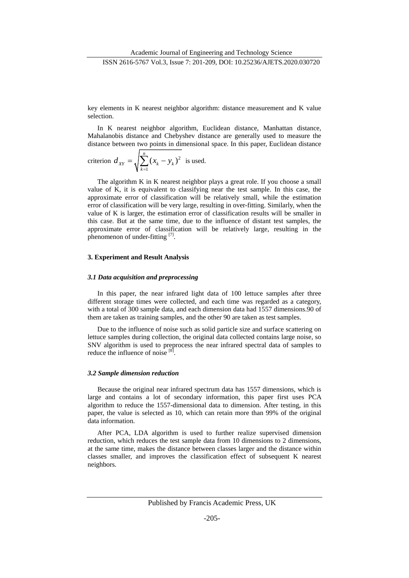key elements in K nearest neighbor algorithm: distance measurement and K value selection.

In K nearest neighbor algorithm, Euclidean distance, Manhattan distance, Mahalanobis distance and Chebyshev distance are generally used to measure the distance between two points in dimensional space. In this paper, Euclidean distance

$$
\text{criterion } d_{XY} = \sqrt{\sum_{k=1}^{n} (x_k - y_k)^2} \text{ is used.}
$$

The algorithm K in K nearest neighbor plays a great role. If you choose a small value of K, it is equivalent to classifying near the test sample. In this case, the approximate error of classification will be relatively small, while the estimation error of classification will be very large, resulting in over-fitting. Similarly, when the value of K is larger, the estimation error of classification results will be smaller in this case. But at the same time, due to the influence of distant test samples, the approximate error of classification will be relatively large, resulting in the phenomenon of under-fitting [7].

#### **3. Experiment and Result Analysis**

#### *3.1 Data acquisition and preprocessing*

In this paper, the near infrared light data of 100 lettuce samples after three different storage times were collected, and each time was regarded as a category, with a total of 300 sample data, and each dimension data had 1557 dimensions.90 of them are taken as training samples, and the other 90 are taken as test samples.

Due to the influence of noise such as solid particle size and surface scattering on lettuce samples during collection, the original data collected contains large noise, so SNV algorithm is used to preprocess the near infrared spectral data of samples to reduce the influence of noise [8].

#### *3.2 Sample dimension reduction*

Because the original near infrared spectrum data has 1557 dimensions, which is large and contains a lot of secondary information, this paper first uses PCA algorithm to reduce the 1557-dimensional data to dimension. After testing, in this paper, the value is selected as 10, which can retain more than 99% of the original data information.

After PCA, LDA algorithm is used to further realize supervised dimension reduction, which reduces the test sample data from 10 dimensions to 2 dimensions, at the same time, makes the distance between classes larger and the distance within classes smaller, and improves the classification effect of subsequent K nearest neighbors.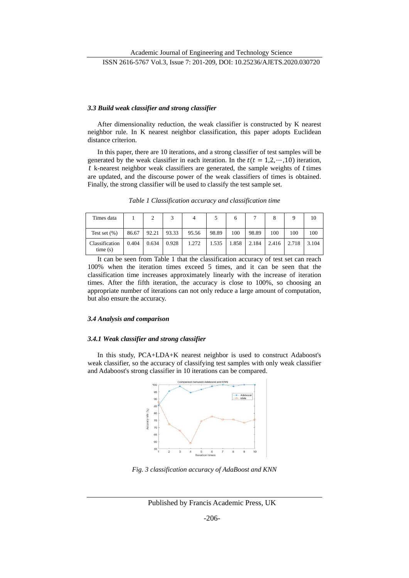ISSN 2616-5767 Vol.3, Issue 7: 201-209, DOI: 10.25236/AJETS.2020.030720

## *3.3 Build weak classifier and strong classifier*

After dimensionality reduction, the weak classifier is constructed by K nearest neighbor rule. In K nearest neighbor classification, this paper adopts Euclidean distance criterion.

In this paper, there are 10 iterations, and a strong classifier of test samples will be generated by the weak classifier in each iteration. In the  $t(t = 1, 2, \dots, 10)$  iteration, *t* k-nearest neighbor weak classifiers are generated, the sample weights of *t* times are updated, and the discourse power of the weak classifiers of times is obtained. Finally, the strong classifier will be used to classify the test sample set.

|  | Table 1 Classification accuracy and classification time |
|--|---------------------------------------------------------|
|  |                                                         |

| Times data                |       | C     | ς     | 4     |       | 6     |       | 8     | a     | 10    |
|---------------------------|-------|-------|-------|-------|-------|-------|-------|-------|-------|-------|
| Test set $(\%)$           | 86.67 | 92.21 | 93.33 | 95.56 | 98.89 | 100   | 98.89 | 100   | 100   | 100   |
| Classification<br>time(s) | 0.404 | 0.634 | 0.928 | 1.272 | 1.535 | 1.858 | 2.184 | 2.416 | 2.718 | 3.104 |

It can be seen from Table 1 that the classification accuracy of test set can reach 100% when the iteration times exceed 5 times, and it can be seen that the classification time increases approximately linearly with the increase of iteration times. After the fifth iteration, the accuracy is close to 100%, so choosing an appropriate number of iterations can not only reduce a large amount of computation, but also ensure the accuracy.

#### *3.4 Analysis and comparison*

#### *3.4.1 Weak classifier and strong classifier*

In this study, PCA+LDA+K nearest neighbor is used to construct Adaboost's weak classifier, so the accuracy of classifying test samples with only weak classifier and Adaboost's strong classifier in 10 iterations can be compared.



*Fig. 3 classification accuracy of AdaBoost and KNN*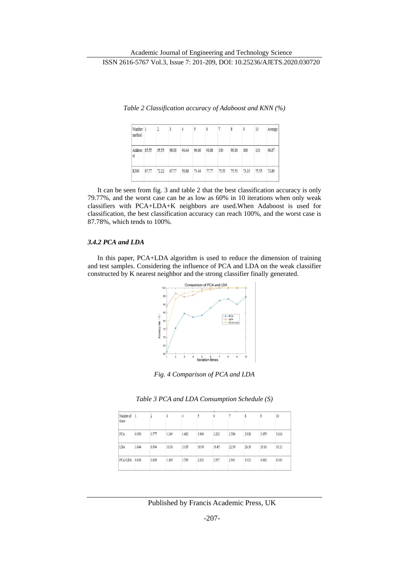| Number 1<br>method |       |       | 3     |       |       | 6     | 7     | 8     | 9     | 10    | Average |
|--------------------|-------|-------|-------|-------|-------|-------|-------|-------|-------|-------|---------|
| Adaboo 85.55<br>st |       | 95.55 | 98.88 | 94.44 | 96.66 | 98.88 | 100   | 98.88 | 100   | 100   | 96.87   |
| <b>KNN</b>         | 87.77 | 72.22 | 67.77 | 58.88 | 74.44 | 77.77 | 75.55 | 75.55 | 73.33 | 75.55 | 73.89   |

*Table 2 Classification accuracy of Adaboost and KNN (%)*

It can be seen from fig. 3 and table 2 that the best classification accuracy is only 79.77%, and the worst case can be as low as 60% in 10 iterations when only weak classifiers with PCA+LDA+K neighbors are used.When Adaboost is used for classification, the best classification accuracy can reach 100%, and the worst case is 87.78%, which tends to 100%.

## *3.4.2 PCA and LDA*

In this paper, PCA+LDA algorithm is used to reduce the dimension of training and test samples. Considering the influence of PCA and LDA on the weak classifier constructed by K nearest neighbor and the strong classifier finally generated.



*Fig. 4 Comparison of PCA and LDA*

| Table 3 PCA and LDA Consumption Schedule (S) |  |  |  |
|----------------------------------------------|--|--|--|
|----------------------------------------------|--|--|--|

|                    |       |       |       |       |       |       | $\sim$ |       |       |       |  |
|--------------------|-------|-------|-------|-------|-------|-------|--------|-------|-------|-------|--|
| Number of<br>times | 1     |       |       | 4     |       | 6     |        | 8     | 9     | 10    |  |
| PCA                | 0.390 | 0.777 | 1,249 | 1.482 | 1.860 | 2.202 | 2.586  | 2.928 | 3.355 | 3.624 |  |
| LDA                | 3.644 | 6.994 | 10.38 | 13.85 | 16.99 | 19.45 | 22.59  | 26.39 | 29.10 | 33.21 |  |
| PCA+LDA            | 0.418 | 0.809 | 1.369 | 1.765 | 2.023 | 2.517 | 2.941  | 3.321 | 4.062 | 4.303 |  |
|                    |       |       |       |       |       |       |        |       |       |       |  |

Published by Francis Academic Press, UK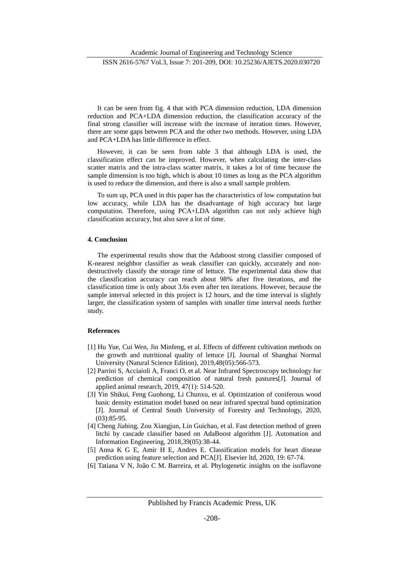It can be seen from fig. 4 that with PCA dimension reduction, LDA dimension reduction and PCA+LDA dimension reduction, the classification accuracy of the final strong classifier will increase with the increase of iteration times. However, there are some gaps between PCA and the other two methods. However, using LDA and PCA+LDA has little difference in effect.

However, it can be seen from table 3 that although LDA is used, the classification effect can be improved. However, when calculating the inter-class scatter matrix and the intra-class scatter matrix, it takes a lot of time because the sample dimension is too high, which is about 10 times as long as the PCA algorithm is used to reduce the dimension, and there is also a small sample problem.

To sum up, PCA used in this paper has the characteristics of low computation but low accuracy, while LDA has the disadvantage of high accuracy but large computation. Therefore, using PCA+LDA algorithm can not only achieve high classification accuracy, but also save a lot of time.

## **4. Conclusion**

The experimental results show that the Adaboost strong classifier composed of K-nearest neighbor classifier as weak classifier can quickly, accurately and nondestructively classify the storage time of lettuce. The experimental data show that the classification accuracy can reach about 98% after five iterations, and the classification time is only about 3.6s even after ten iterations. However, because the sample interval selected in this project is 12 hours, and the time interval is slightly larger, the classification system of samples with smaller time interval needs further study.

#### **References**

- [1] Hu Yue, Cui Wen, Jin Minfeng, et al. Effects of different cultivation methods on the growth and nutritional quality of lettuce [J]. Journal of Shanghai Normal University (Natural Science Edition), 2019,48(05):566-573.
- [2] Parrini S, Acciaioli A, Franci O, et al. Near Infrared Spectroscopy technology for prediction of chemical composition of natural fresh pastures[J]. Journal of applied animal research, 2019, 47(1): 514-520.
- [3] Yin Shikui, Feng Guohong, Li Chunxu, et al. Optimization of coniferous wood basic density estimation model based on near infrared spectral band optimization [J]. Journal of Central South University of Forestry and Technology, 2020, (03):85-95.
- [4] Cheng Jiabing, Zou Xiangjun, Lin Guichao, et al. Fast detection method of green litchi by cascade classifier based on AdaBoost algorithm [J]. Automation and Information Engineering, 2018,39(05):38-44.
- [5] Anna K G E, Amir H E, Andres E. Classification models for heart disease prediction using feature selection and PCA[J]. Elsevier ltd, 2020, 19: 67-74.
- [6] Tatiana V N, João C M. Barreira, et al. Phylogenetic insights on the isoflavone